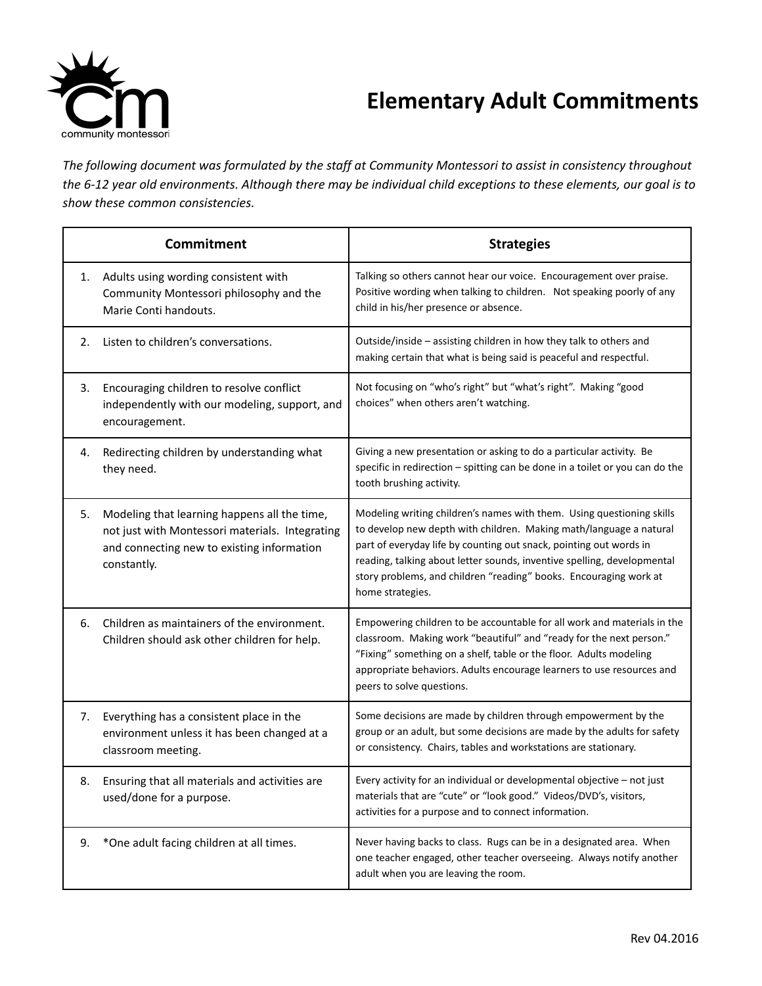

## **Elementary Adult Commitments**

*The following document was formulated by the staff at Community Montessori to assist in consistency throughout* the 6-12 year old environments. Although there may be individual child exceptions to these elements, our goal is to *show these common consistencies.*

| <b>Commitment</b> |                                                                                                                                                              | <b>Strategies</b>                                                                                                                                                                                                                                                                                                                                                                     |
|-------------------|--------------------------------------------------------------------------------------------------------------------------------------------------------------|---------------------------------------------------------------------------------------------------------------------------------------------------------------------------------------------------------------------------------------------------------------------------------------------------------------------------------------------------------------------------------------|
| 1.                | Adults using wording consistent with<br>Community Montessori philosophy and the<br>Marie Conti handouts.                                                     | Talking so others cannot hear our voice. Encouragement over praise.<br>Positive wording when talking to children. Not speaking poorly of any<br>child in his/her presence or absence.                                                                                                                                                                                                 |
| 2.                | Listen to children's conversations.                                                                                                                          | Outside/inside - assisting children in how they talk to others and<br>making certain that what is being said is peaceful and respectful.                                                                                                                                                                                                                                              |
| 3.                | Encouraging children to resolve conflict<br>independently with our modeling, support, and<br>encouragement.                                                  | Not focusing on "who's right" but "what's right". Making "good<br>choices" when others aren't watching.                                                                                                                                                                                                                                                                               |
| 4.                | Redirecting children by understanding what<br>they need.                                                                                                     | Giving a new presentation or asking to do a particular activity. Be<br>specific in redirection - spitting can be done in a toilet or you can do the<br>tooth brushing activity.                                                                                                                                                                                                       |
| 5.                | Modeling that learning happens all the time,<br>not just with Montessori materials. Integrating<br>and connecting new to existing information<br>constantly. | Modeling writing children's names with them. Using questioning skills<br>to develop new depth with children. Making math/language a natural<br>part of everyday life by counting out snack, pointing out words in<br>reading, talking about letter sounds, inventive spelling, developmental<br>story problems, and children "reading" books. Encouraging work at<br>home strategies. |
| 6.                | Children as maintainers of the environment.<br>Children should ask other children for help.                                                                  | Empowering children to be accountable for all work and materials in the<br>classroom. Making work "beautiful" and "ready for the next person."<br>"Fixing" something on a shelf, table or the floor. Adults modeling<br>appropriate behaviors. Adults encourage learners to use resources and<br>peers to solve questions.                                                            |
| 7.                | Everything has a consistent place in the<br>environment unless it has been changed at a<br>classroom meeting.                                                | Some decisions are made by children through empowerment by the<br>group or an adult, but some decisions are made by the adults for safety<br>or consistency. Chairs, tables and workstations are stationary.                                                                                                                                                                          |
| 8.                | Ensuring that all materials and activities are<br>used/done for a purpose.                                                                                   | Every activity for an individual or developmental objective - not just<br>materials that are "cute" or "look good." Videos/DVD's, visitors,<br>activities for a purpose and to connect information.                                                                                                                                                                                   |
| 9.                | *One adult facing children at all times.                                                                                                                     | Never having backs to class. Rugs can be in a designated area. When<br>one teacher engaged, other teacher overseeing. Always notify another<br>adult when you are leaving the room.                                                                                                                                                                                                   |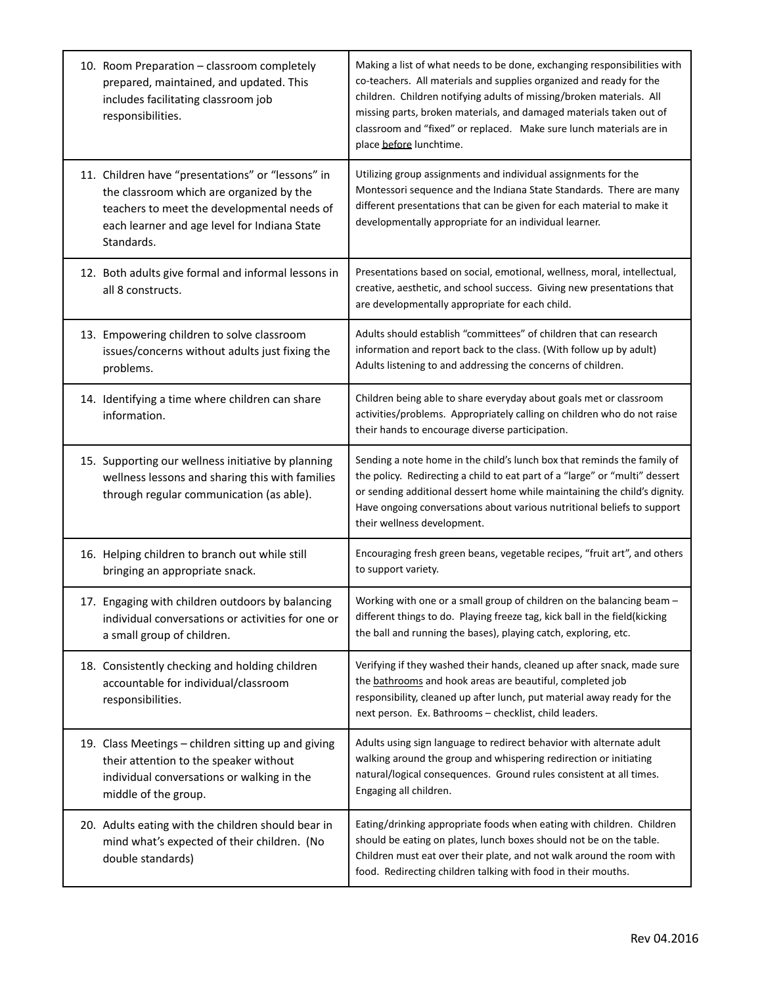| 10. Room Preparation - classroom completely<br>prepared, maintained, and updated. This<br>includes facilitating classroom job<br>responsibilities.                                                         | Making a list of what needs to be done, exchanging responsibilities with<br>co-teachers. All materials and supplies organized and ready for the<br>children. Children notifying adults of missing/broken materials. All<br>missing parts, broken materials, and damaged materials taken out of<br>classroom and "fixed" or replaced. Make sure lunch materials are in<br>place before lunchtime. |
|------------------------------------------------------------------------------------------------------------------------------------------------------------------------------------------------------------|--------------------------------------------------------------------------------------------------------------------------------------------------------------------------------------------------------------------------------------------------------------------------------------------------------------------------------------------------------------------------------------------------|
| 11. Children have "presentations" or "lessons" in<br>the classroom which are organized by the<br>teachers to meet the developmental needs of<br>each learner and age level for Indiana State<br>Standards. | Utilizing group assignments and individual assignments for the<br>Montessori sequence and the Indiana State Standards. There are many<br>different presentations that can be given for each material to make it<br>developmentally appropriate for an individual learner.                                                                                                                        |
| 12. Both adults give formal and informal lessons in<br>all 8 constructs.                                                                                                                                   | Presentations based on social, emotional, wellness, moral, intellectual,<br>creative, aesthetic, and school success. Giving new presentations that<br>are developmentally appropriate for each child.                                                                                                                                                                                            |
| 13. Empowering children to solve classroom<br>issues/concerns without adults just fixing the<br>problems.                                                                                                  | Adults should establish "committees" of children that can research<br>information and report back to the class. (With follow up by adult)<br>Adults listening to and addressing the concerns of children.                                                                                                                                                                                        |
| 14. Identifying a time where children can share<br>information.                                                                                                                                            | Children being able to share everyday about goals met or classroom<br>activities/problems. Appropriately calling on children who do not raise<br>their hands to encourage diverse participation.                                                                                                                                                                                                 |
| 15. Supporting our wellness initiative by planning<br>wellness lessons and sharing this with families<br>through regular communication (as able).                                                          | Sending a note home in the child's lunch box that reminds the family of<br>the policy. Redirecting a child to eat part of a "large" or "multi" dessert<br>or sending additional dessert home while maintaining the child's dignity.<br>Have ongoing conversations about various nutritional beliefs to support<br>their wellness development.                                                    |
| 16. Helping children to branch out while still<br>bringing an appropriate snack.                                                                                                                           | Encouraging fresh green beans, vegetable recipes, "fruit art", and others<br>to support variety.                                                                                                                                                                                                                                                                                                 |
| 17. Engaging with children outdoors by balancing<br>individual conversations or activities for one or<br>a small group of children.                                                                        | Working with one or a small group of children on the balancing beam -<br>different things to do. Playing freeze tag, kick ball in the field(kicking<br>the ball and running the bases), playing catch, exploring, etc.                                                                                                                                                                           |
| 18. Consistently checking and holding children<br>accountable for individual/classroom<br>responsibilities.                                                                                                | Verifying if they washed their hands, cleaned up after snack, made sure<br>the bathrooms and hook areas are beautiful, completed job<br>responsibility, cleaned up after lunch, put material away ready for the<br>next person. Ex. Bathrooms - checklist, child leaders.                                                                                                                        |
| 19. Class Meetings - children sitting up and giving<br>their attention to the speaker without<br>individual conversations or walking in the<br>middle of the group.                                        | Adults using sign language to redirect behavior with alternate adult<br>walking around the group and whispering redirection or initiating<br>natural/logical consequences. Ground rules consistent at all times.<br>Engaging all children.                                                                                                                                                       |
| 20. Adults eating with the children should bear in<br>mind what's expected of their children. (No<br>double standards)                                                                                     | Eating/drinking appropriate foods when eating with children. Children<br>should be eating on plates, lunch boxes should not be on the table.<br>Children must eat over their plate, and not walk around the room with<br>food. Redirecting children talking with food in their mouths.                                                                                                           |